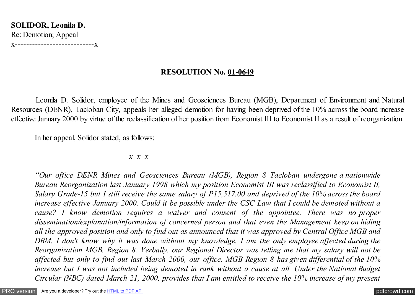**SOLIDOR, Leonila D.** Re: Demotion; Appeal x---------------------------x

## **RESOLUTION No. 01-0649**

 Leonila D. Solidor, employee of the Mines and Geosciences Bureau (MGB), Department of Environment and Natural Resources (DENR), Tacloban City, appeals her alleged demotion for having been deprived of the 10% across the board increase effective January 2000 by virtue of the reclassification of her position from Economist III to Economist II as a result of reorganization.

In her appeal, Solidor stated, as follows:

#### *x x x*

*"Our office DENR Mines and Geosciences Bureau (MGB), Region 8 Tacloban undergone a nationwide Bureau Reorganization last January 1998 which my position Economist III was reclassified to Economist II, Salary Grade-15 but I still receive the same salary of P15,517.00 and deprived of the 10% across the board increase effective January 2000. Could it be possible under the CSC Law that I could be demoted without a cause? I know demotion requires a waiver and consent of the appointee. There was no proper dissemination/explanation/information of concerned person and that even the Management keep on hiding all the approved position and only to find out as announced that it was approved by Central Office MGB and DBM. I don't know why it was done without my knowledge. I am the only employee affected during the Reorganization MGB, Region 8. Verbally, our Regional Director was telling me that my salary will not be affected but only to find out last March 2000, our office, MGB Region 8 has given differential of the 10% increase but I was not included being demoted in rank without a cause at all. Under the National Budget Circular (NBC) dated March 21, 2000, provides that I am entitled to receive the 10% increase of my present*

[PRO version](http://pdfcrowd.com/customize/) Are you a developer? Try out th[e HTML to PDF API](http://pdfcrowd.com/html-to-pdf-api/?ref=pdf) [pdfcrowd.com](http://pdfcrowd.com)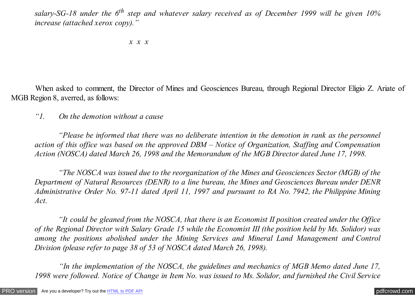*salary-SG-18 under the 6th step and whatever salary received as of December 1999 will be given 10% increase (attached xerox copy)."*

 *x x x*

 When asked to comment, the Director of Mines and Geosciences Bureau, through Regional Director Eligio Z. Ariate of MGB Region 8, averred, as follows:

*"1. On the demotion without a cause*

 *"Please be informed that there was no deliberate intention in the demotion in rank as the personnel action of this office was based on the approved DBM – Notice of Organization, Staffing and Compensation Action (NOSCA) dated March 26, 1998 and the Memorandum of the MGB Director dated June 17, 1998.*

 *"The NOSCA was issued due to the reorganization of the Mines and Geosciences Sector (MGB) of the Department of Natural Resources (DENR) to a line bureau, the Mines and Geosciences Bureau under DENR Administrative Order No. 97-11 dated April 11, 1997 and pursuant to RA No. 7942, the Philippine Mining Act.*

 *"It could be gleaned from the NOSCA, that there is an Economist II position created under the Office of the Regional Director with Salary Grade 15 while the Economist III (the position held by Ms. Solidor) was among the positions abolished under the Mining Services and Mineral Land Management and Control Division (please refer to page 38 of 53 of NOSCA dated March 26, 1998).*

 *"In the implementation of the NOSCA, the guidelines and mechanics of MGB Memo dated June 17, 1998 were followed. Notice of Change in Item No. was issued to Ms. Solidor, and furnished the Civil Service*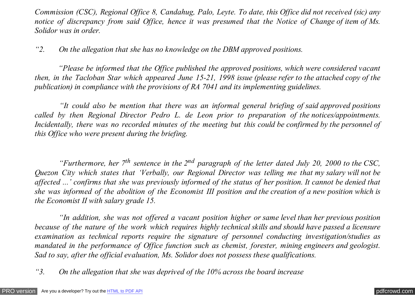*Commission (CSC), Regional Office 8, Candahug, Palo, Leyte. To date, this Office did not received (sic) any notice of discrepancy from said Office, hence it was presumed that the Notice of Change of item of Ms. Solidor was in order.*

*"2. On the allegation that she has no knowledge on the DBM approved positions.*

 *"Please be informed that the Office published the approved positions, which were considered vacant then, in the Tacloban Star which appeared June 15-21, 1998 issue (please refer to the attached copy of the publication) in compliance with the provisions of RA 7041 and its implementing guidelines.*

 *"It could also be mention that there was an informal general briefing of said approved positions called by then Regional Director Pedro L. de Leon prior to preparation of the notices/appointments. Incidentally, there was no recorded minutes of the meeting but this could be confirmed by the personnel of this Office who were present during the briefing.*

 *"Furthermore, her 7th sentence in the 2nd paragraph of the letter dated July 20, 2000 to the CSC, Quezon City which states that 'Verbally, our Regional Director was telling me that my salary will not be affected ...' confirms that she was previously informed of the status of her position. It cannot be denied that she was informed of the abolition of the Economist III position and the creation of a new position which is the Economist II with salary grade 15.*

 *"In addition, she was not offered a vacant position higher or same level than her previous position because of the nature of the work which requires highly technical skills and should have passed a licensure examination as technical reports require the signature of personnel conducting investigation/studies as mandated in the performance of Office function such as chemist, forester, mining engineers and geologist. Sad to say, after the official evaluation, Ms. Solidor does not possess these qualifications.*

*"3. On the allegation that she was deprived of the 10% across the board increase*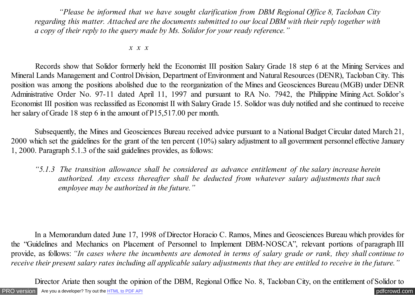*"Please be informed that we have sought clarification from DBM Regional Office 8, Tacloban City regarding this matter. Attached are the documents submitted to our local DBM with their reply together with a copy of their reply to the query made by Ms. Solidor for your ready reference."*

 *x x x*

 Records show that Solidor formerly held the Economist III position Salary Grade 18 step 6 at the Mining Services and Mineral Lands Management and Control Division, Department of Environment and Natural Resources (DENR), Tacloban City. This position was among the positions abolished due to the reorganization of the Mines and Geosciences Bureau (MGB) under DENR Administrative Order No. 97-11 dated April 11, 1997 and pursuant to RA No. 7942, the Philippine Mining Act. Solidor's Economist III position was reclassified as Economist II with Salary Grade 15. Solidor was duly notified and she continued to receive her salary of Grade 18 step 6 in the amount of P15,517.00 per month.

 Subsequently, the Mines and Geosciences Bureau received advice pursuant to a National Budget Circular dated March 21, 2000 which set the guidelines for the grant of the ten percent (10%) salary adjustment to all government personnel effective January 1, 2000. Paragraph 5.1.3 of the said guidelines provides, as follows:

*"5.1.3 The transition allowance shall be considered as advance entitlement of the salary increase herein authorized. Any excess thereafter shall be deducted from whatever salary adjustments that such employee may be authorized in the future."*

 In a Memorandum dated June 17, 1998 of Director Horacio C. Ramos, Mines and Geosciences Bureau which provides for the "Guidelines and Mechanics on Placement of Personnel to Implement DBM-NOSCA", relevant portions of paragraph III provide, as follows: *"In cases where the incumbents are demoted in terms of salary grade or rank, they shall continue to receive their present salary rates including all applicable salary adjustments that they are entitled to receive in the future."*

[PRO version](http://pdfcrowd.com/customize/) Are you a developer? Try out th[e HTML to PDF API](http://pdfcrowd.com/html-to-pdf-api/?ref=pdf) compared to the comparison of the HTML to PDF API Director Ariate then sought the opinion of the DBM, Regional Office No. 8, Tacloban City, on the entitlement of Solidor to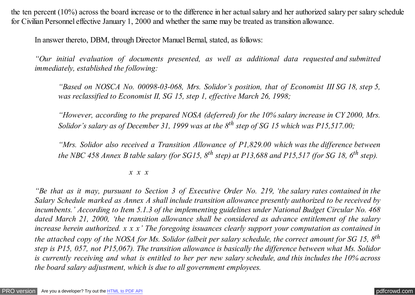the ten percent (10%) across the board increase or to the difference in her actual salary and her authorized salary per salary schedule for Civilian Personnel effective January 1, 2000 and whether the same may be treated as transition allowance.

In answer thereto, DBM, through Director Manuel Bernal, stated, as follows:

*"Our initial evaluation of documents presented, as well as additional data requested and submitted immediately, established the following:*

*"Based on NOSCA No. 00098-03-068, Mrs. Solidor's position, that of Economist III SG 18, step 5, was reclassified to Economist II, SG 15, step 1, effective March 26, 1998;*

*"However, according to the prepared NOSA (deferred) for the 10% salary increase in CY 2000, Mrs. Solidor's salary as of December 31, 1999 was at the 8th step of SG 15 which was P15,517.00;*

*"Mrs. Solidor also received a Transition Allowance of P1,829.00 which was the difference between the NBC 458 Annex B table salary (for SG15, 8th step) at P13,688 and P15,517 (for SG 18, 6th step).*

### *x x x*

*"Be that as it may, pursuant to Section 3 of Executive Order No. 219, 'the salary rates contained in the Salary Schedule marked as Annex A shall include transition allowance presently authorized to be received by incumbents.' According to Item 5.1.3 of the implementing guidelines under National Budget Circular No. 468 dated March 21, 2000, 'the transition allowance shall be considered as advance entitlement of the salary increase herein authorized. x x x' The foregoing issuances clearly support your computation as contained in the attached copy of the NOSA for Ms. Solidor (albeit per salary schedule, the correct amount for SG 15, 8th step is P15, 057, not P15,067). The transition allowance is basically the difference between what Ms. Solidor is currently receiving and what is entitled to her per new salary schedule, and this includes the 10% across the board salary adjustment, which is due to all government employees.*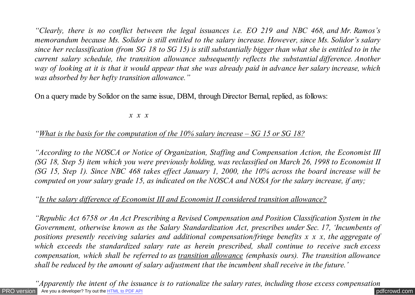*"Clearly, there is no conflict between the legal issuances i.e. EO 219 and NBC 468, and Mr. Ramos's memorandum because Ms. Solidor is still entitled to the salary increase. However, since Ms. Solidor's salary since her reclassification (from SG 18 to SG 15) is still substantially bigger than what she is entitled to in the current salary schedule, the transition allowance subsequently reflects the substantial difference. Another way of looking at it is that it would appear that she was already paid in advance her salary increase, which was absorbed by her hefty transition allowance."*

On a query made by Solidor on the same issue, DBM, through Director Bernal, replied, as follows:

### *x x x*

# *"What is the basis for the computation of the 10% salary increase – SG 15 or SG 18?*

*"According to the NOSCA or Notice of Organization, Staffing and Compensation Action, the Economist III (SG 18, Step 5) item which you were previously holding, was reclassified on March 26, 1998 to Economist II (SG 15, Step 1). Since NBC 468 takes effect January 1, 2000, the 10% across the board increase will be computed on your salary grade 15, as indicated on the NOSCA and NOSA for the salary increase, if any;*

# *"Is the salary difference of Economist III and Economist II considered transition allowance?*

*"Republic Act 6758 or An Act Prescribing a Revised Compensation and Position Classification System in the Government, otherwise known as the Salary Standardization Act, prescribes under Sec. 17, 'Incumbents of positions presently receiving salaries and additional compensation/fringe benefits x x x, the aggregate of which exceeds the standardized salary rate as herein prescribed, shall continue to receive such excess compensation, which shall be referred to as transition allowance (emphasis ours). The transition allowance shall be reduced by the amount of salary adjustment that the incumbent shall receive in the future.'*

[PRO version](http://pdfcrowd.com/customize/) Are you a developer? Try out th[e HTML to PDF API](http://pdfcrowd.com/html-to-pdf-api/?ref=pdf) [pdfcrowd.com](http://pdfcrowd.com) *"Apparently the intent of the issuance is to rationalize the salary rates, including those excess compensation*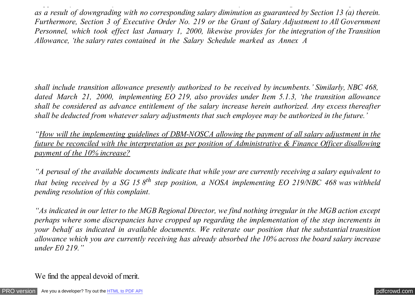*as a result of downgrading with no corresponding salary diminution as guaranteed by Section 13 (a) therein. Furthermore, Section 3 of Executive Order No. 219 or the Grant of Salary Adjustment to All Government Personnel, which took effect last January 1, 2000, likewise provides for the integration of the Transition Allowance, 'the salary rates contained in the Salary Schedule marked as Annex A*

*"Apparently the intent of the issuance is to rationalize the salary rates, including those excess compensation*

*shall include transition allowance presently authorized to be received by incumbents.' Similarly, NBC 468, dated March 21, 2000, implementing EO 219, also provides under Item 5.1.3, 'the transition allowance shall be considered as advance entitlement of the salary increase herein authorized. Any excess thereafter shall be deducted from whatever salary adjustments that such employee may be authorized in the future.'*

*"How will the implementing guidelines of DBM-NOSCA allowing the payment of all salary adjustment in the future be reconciled with the interpretation as per position of Administrative & Finance Officer disallowing payment of the 10% increase?*

*"A perusal of the available documents indicate that while your are currently receiving a salary equivalent to that being received by a SG 15 8th step position, a NOSA implementing EO 219/NBC 468 was withheld pending resolution of this complaint.*

*"As indicated in our letter to the MGB Regional Director, we find nothing irregular in the MGB action except perhaps where some discrepancies have cropped up regarding the implementation of the step increments in your behalf as indicated in available documents. We reiterate our position that the substantial transition allowance which you are currently receiving has already absorbed the 10% across the board salary increase under E0 219."*

We find the appeal devoid of merit.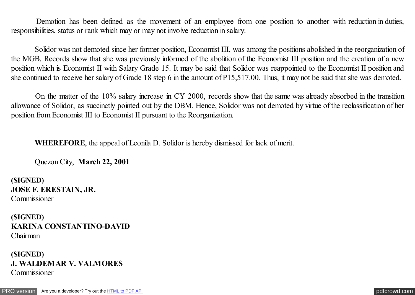Demotion has been defined as the movement of an employee from one position to another with reduction in duties, responsibilities, status or rank which may or may not involve reduction in salary.

 Solidor was not demoted since her former position, Economist III, was among the positions abolished in the reorganization of the MGB. Records show that she was previously informed of the abolition of the Economist III position and the creation of a new position which is Economist II with Salary Grade 15. It may be said that Solidor was reappointed to the Economist II position and she continued to receive her salary of Grade 18 step 6 in the amount of P15,517.00. Thus, it may not be said that she was demoted.

 On the matter of the 10% salary increase in CY 2000, records show that the same was already absorbed in the transition allowance of Solidor, as succinctly pointed out by the DBM. Hence, Solidor was not demoted by virtue of the reclassification of her position from Economist III to Economist II pursuant to the Reorganization.

**WHEREFORE**, the appeal of Leonila D. Solidor is hereby dismissed for lack of merit.

Quezon City, **March 22, 2001**

**(SIGNED) JOSE F. ERESTAIN, JR.** Commissioner

**(SIGNED) KARINA CONSTANTINO-DAVID** Chairman

# **(SIGNED) J. WALDEMAR V. VALMORES** Commissioner